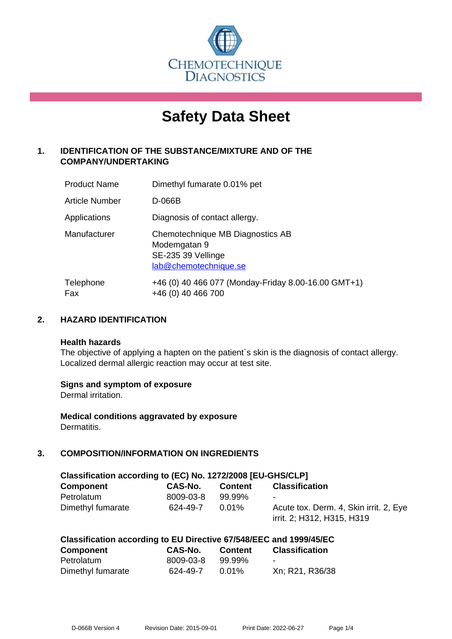

# **Safety Data Sheet**

# **1. IDENTIFICATION OF THE SUBSTANCE/MIXTURE AND OF THE COMPANY/UNDERTAKING**

| <b>Product Name</b> | Dimethyl fumarate 0.01% pet                                                                     |
|---------------------|-------------------------------------------------------------------------------------------------|
| Article Number      | D-066B                                                                                          |
| Applications        | Diagnosis of contact allergy.                                                                   |
| Manufacturer        | Chemotechnique MB Diagnostics AB<br>Modemgatan 9<br>SE-235 39 Vellinge<br>lab@chemotechnique.se |
| Telephone<br>Fax    | +46 (0) 40 466 077 (Monday-Friday 8.00-16.00 GMT+1)<br>+46 (0) 40 466 700                       |

# **2. HAZARD IDENTIFICATION**

#### **Health hazards**

The objective of applying a hapten on the patient's skin is the diagnosis of contact allergy. Localized dermal allergic reaction may occur at test site.

## **Signs and symptom of exposure**

Dermal irritation.

**Medical conditions aggravated by exposure** Dermatitis.

# **3. COMPOSITION/INFORMATION ON INGREDIENTS**

| Classification according to (EC) No. 1272/2008 [EU-GHS/CLP] |           |                |                                                                      |  |
|-------------------------------------------------------------|-----------|----------------|----------------------------------------------------------------------|--|
| <b>Component</b>                                            | CAS-No.   | <b>Content</b> | <b>Classification</b>                                                |  |
| Petrolatum                                                  | 8009-03-8 | 99.99%         | $\sim$                                                               |  |
| Dimethyl fumarate                                           | 624-49-7  | $0.01\%$       | Acute tox. Derm. 4, Skin irrit. 2, Eye<br>irrit. 2; H312, H315, H319 |  |

| <b>Component</b>  | CAS-No.   | <b>Content</b> | <b>Classification</b> |
|-------------------|-----------|----------------|-----------------------|
| Petrolatum        | 8009-03-8 | 99.99%         | -                     |
| Dimethyl fumarate | 624-49-7  | $0.01\%$       | Xn; R21, R36/38       |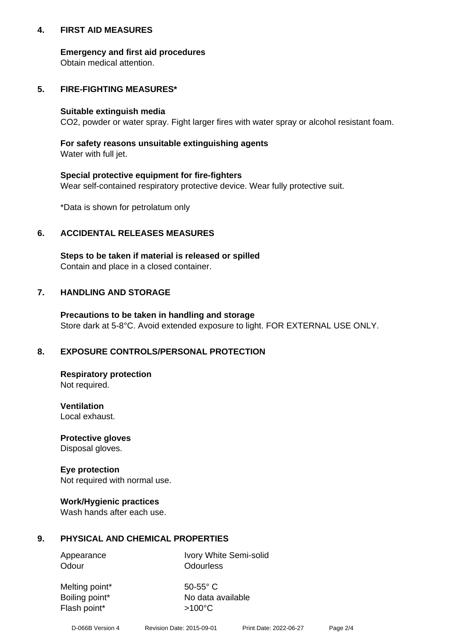## **4. FIRST AID MEASURES**

## **Emergency and first aid procedures**

Obtain medical attention.

# **5. FIRE-FIGHTING MEASURES\***

#### **Suitable extinguish media**

CO2, powder or water spray. Fight larger fires with water spray or alcohol resistant foam.

# **For safety reasons unsuitable extinguishing agents**

Water with full jet.

## **Special protective equipment for fire-fighters**

Wear self-contained respiratory protective device. Wear fully protective suit.

\*Data is shown for petrolatum only

# **6. ACCIDENTAL RELEASES MEASURES**

**Steps to be taken if material is released or spilled** Contain and place in a closed container.

# **7. HANDLING AND STORAGE**

**Precautions to be taken in handling and storage** Store dark at 5-8°C. Avoid extended exposure to light. FOR EXTERNAL USE ONLY.

# **8. EXPOSURE CONTROLS/PERSONAL PROTECTION**

**Respiratory protection** Not required.

**Ventilation** Local exhaust.

**Protective gloves** Disposal gloves.

#### **Eye protection** Not required with normal use.

## **Work/Hygienic practices**

Wash hands after each use.

## **9. PHYSICAL AND CHEMICAL PROPERTIES**

Odour **Odourless** 

Appearance Ivory White Semi-solid

Melting point\* 50-55° C Flash point\*  $>100^{\circ}$ C

Boiling point\* No data available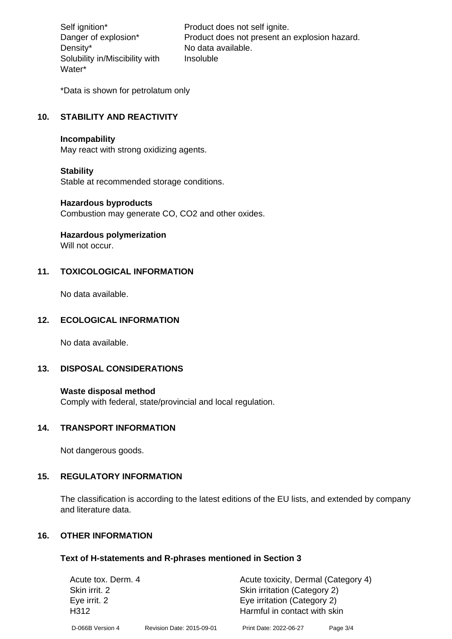Density\* No data available. Solubility in/Miscibility with Water\*

Self ignition\* Product does not self ignite. Danger of explosion\* Product does not present an explosion hazard. Insoluble

\*Data is shown for petrolatum only

# **10. STABILITY AND REACTIVITY**

#### **Incompability**

May react with strong oxidizing agents.

#### **Stability**

Stable at recommended storage conditions.

#### **Hazardous byproducts**

Combustion may generate CO, CO2 and other oxides.

**Hazardous polymerization**

Will not occur.

## **11. TOXICOLOGICAL INFORMATION**

No data available.

#### **12. ECOLOGICAL INFORMATION**

No data available.

# **13. DISPOSAL CONSIDERATIONS**

#### **Waste disposal method**

Comply with federal, state/provincial and local regulation.

#### **14. TRANSPORT INFORMATION**

Not dangerous goods.

## **15. REGULATORY INFORMATION**

The classification is according to the latest editions of the EU lists, and extended by company and literature data.

#### **16. OTHER INFORMATION**

#### **Text of H-statements and R-phrases mentioned in Section 3**

| Acute tox. Derm. 4 |                           | Acute toxicity, Dermal (Category 4) |            |  |
|--------------------|---------------------------|-------------------------------------|------------|--|
| Skin irrit. 2      |                           | Skin irritation (Category 2)        |            |  |
| Eye irrit. 2       |                           | Eye irritation (Category 2)         |            |  |
| H312               |                           | Harmful in contact with skin        |            |  |
| D-066B Version 4   | Revision Date: 2015-09-01 | Print Date: 2022-06-27              | Page $3/4$ |  |